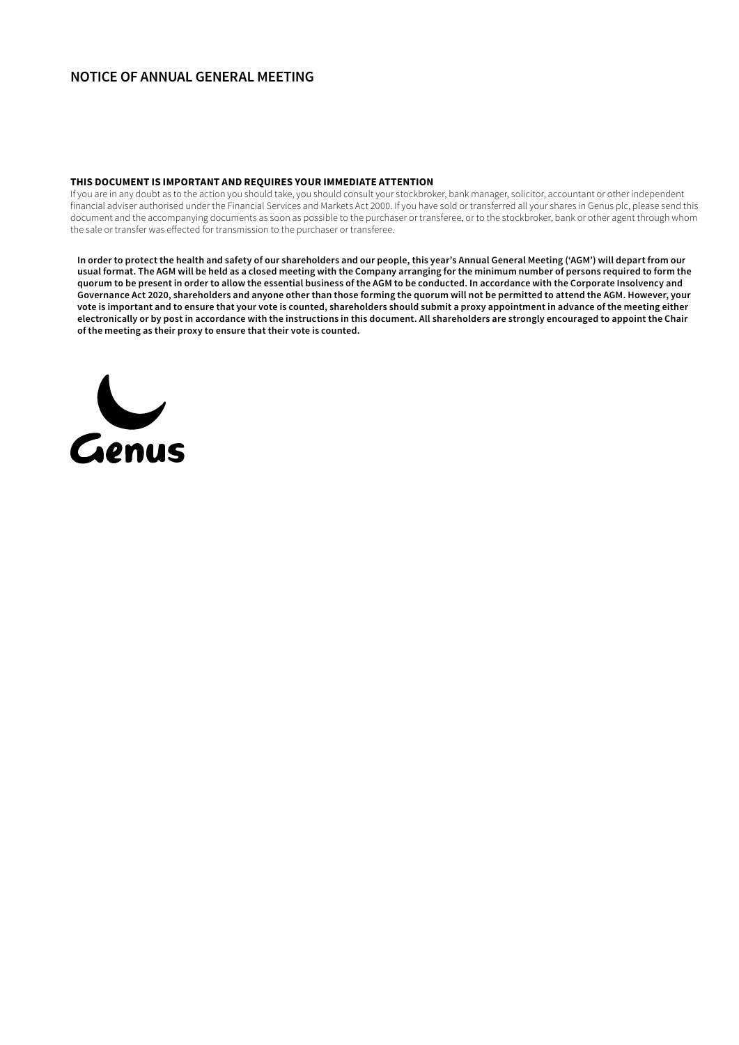# **NOTICE OF ANNUAL GENERAL MEETING**

## **THIS DOCUMENT IS IMPORTANT AND REQUIRES YOUR IMMEDIATE ATTENTION**

If you are in any doubt as to the action you should take, you should consult your stockbroker, bank manager, solicitor, accountant or other independent financial adviser authorised under the Financial Services and Markets Act 2000. If you have sold or transferred all your shares in Genus plc, please send this document and the accompanying documents as soon as possible to the purchaser or transferee, or to the stockbroker, bank or other agent through whom the sale or transfer was effected for transmission to the purchaser or transferee.

**In order to protect the health and safety of our shareholders and our people, this year's Annual General Meeting ('AGM') will depart from our usual format. The AGM will be held as a closed meeting with the Company arranging for the minimum number of persons required to form the quorum to be present in order to allow the essential business of the AGM to be conducted. In accordance with the Corporate Insolvency and Governance Act 2020, shareholders and anyone other than those forming the quorum will not be permitted to attend the AGM. However, your vote is important and to ensure that your vote is counted, shareholders should submit a proxy appointment in advance of the meeting either electronically or by post in accordance with the instructions in this document. All shareholders are strongly encouraged to appoint the Chair of the meeting as their proxy to ensure that their vote is counted.**

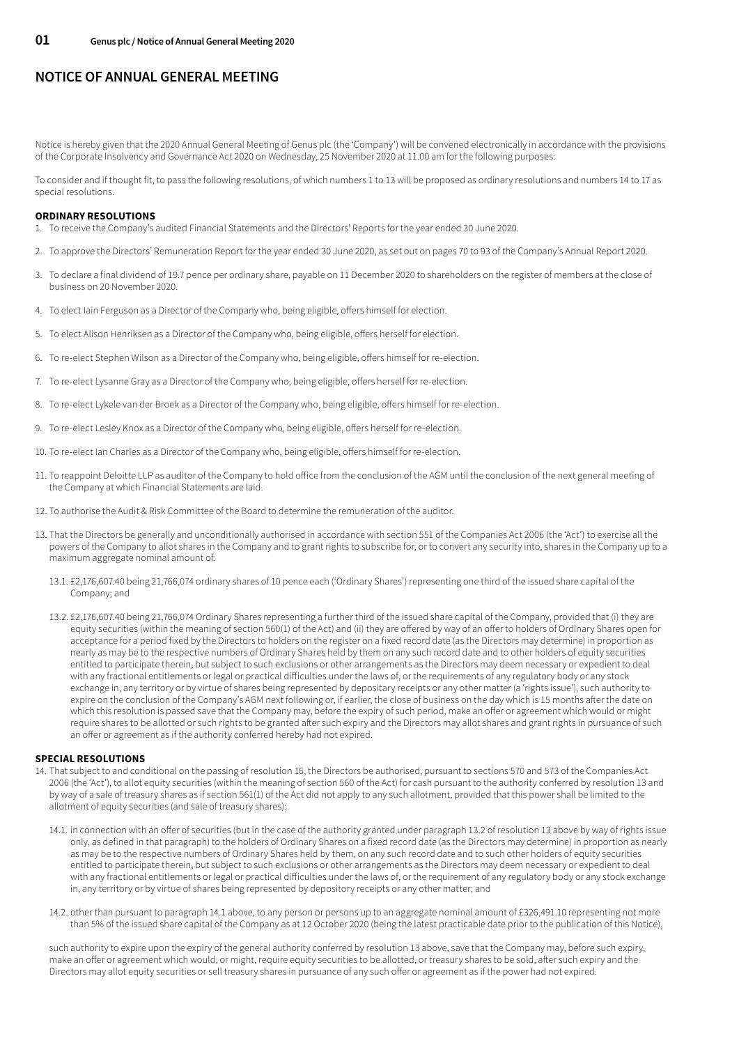# **NOTICE OF ANNUAL GENERAL MEETING**

Notice is hereby given that the 2020 Annual General Meeting of Genus plc (the 'Company') will be convened electronically in accordance with the provisions of the Corporate Insolvency and Governance Act 2020 on Wednesday, 25 November 2020 at 11.00 am for the following purposes:

To consider and if thought fit, to pass the following resolutions, of which numbers 1 to 13 will be proposed as ordinary resolutions and numbers 14 to 17 as special resolutions.

## **ORDINARY RESOLUTIONS**

- 1. To receive the Company's audited Financial Statements and the Directors' Reports for the year ended 30 June 2020.
- 2. To approve the Directors' Remuneration Report for the year ended 30 June 2020, as set out on pages 70 to 93 of the Company's Annual Report 2020.
- 3. To declare a final dividend of 19.7 pence per ordinary share, payable on 11 December 2020 to shareholders on the register of members at the close of business on 20 November 2020.
- 4. To elect Iain Ferguson as a Director of the Company who, being eligible, offers himself for election.
- 5. To elect Alison Henriksen as a Director of the Company who, being eligible, offers herself for election.
- 6. To re-elect Stephen Wilson as a Director of the Company who, being eligible, offers himself for re-election.
- 7. To re-elect Lysanne Gray as a Director of the Company who, being eligible, offers herself for re-election.
- 8. To re-elect Lykele van der Broek as a Director of the Company who, being eligible, offers himself for re-election.
- 9. To re-elect Lesley Knox as a Director of the Company who, being eligible, offers herself for re-election.
- 10. To re-elect Ian Charles as a Director of the Company who, being eligible, offers himself for re-election.
- 11. To reappoint Deloitte LLP as auditor of the Company to hold office from the conclusion of the AGM until the conclusion of the next general meeting of the Company at which Financial Statements are laid.
- 12. To authorise the Audit & Risk Committee of the Board to determine the remuneration of the auditor.
- 13. That the Directors be generally and unconditionally authorised in accordance with section 551 of the Companies Act 2006 (the 'Act') to exercise all the powers of the Company to allot shares in the Company and to grant rights to subscribe for, or to convert any security into, shares in the Company up to a maximum aggregate nominal amount of:
	- 13.1. £2,176,607.40 being 21,766,074 ordinary shares of 10 pence each ('Ordinary Shares') representing one third of the issued share capital of the Company; and
	- 13.2. £2,176,607.40 being 21,766,074 Ordinary Shares representing a further third of the issued share capital of the Company, provided that (i) they are equity securities (within the meaning of section 560(1) of the Act) and (ii) they are offered by way of an offer to holders of Ordinary Shares open for acceptance for a period fixed by the Directors to holders on the register on a fixed record date (as the Directors may determine) in proportion as nearly as may be to the respective numbers of Ordinary Shares held by them on any such record date and to other holders of equity securities entitled to participate therein, but subject to such exclusions or other arrangements as the Directors may deem necessary or expedient to deal with any fractional entitlements or legal or practical difficulties under the laws of, or the requirements of any regulatory body or any stock exchange in, any territory or by virtue of shares being represented by depositary receipts or any other matter (a 'rights issue'), such authority to expire on the conclusion of the Company's AGM next following or, if earlier, the close of business on the day which is 15 months after the date on which this resolution is passed save that the Company may, before the expiry of such period, make an offer or agreement which would or might require shares to be allotted or such rights to be granted after such expiry and the Directors may allot shares and grant rights in pursuance of such an offer or agreement as if the authority conferred hereby had not expired.

#### **SPECIAL RESOLUTIONS**

- 14. That subject to and conditional on the passing of resolution 16, the Directors be authorised, pursuant to sections 570 and 573 of the Companies Act 2006 (the 'Act'), to allot equity securities (within the meaning of section 560 of the Act) for cash pursuant to the authority conferred by resolution 13 and by way of a sale of treasury shares as if section 561(1) of the Act did not apply to any such allotment, provided that this power shall be limited to the allotment of equity securities (and sale of treasury shares):
	- 14.1. in connection with an offer of securities (but in the case of the authority granted under paragraph 13.2 of resolution 13 above by way of rights issue only, as defined in that paragraph) to the holders of Ordinary Shares on a fixed record date (as the Directors may determine) in proportion as nearly as may be to the respective numbers of Ordinary Shares held by them, on any such record date and to such other holders of equity securities entitled to participate therein, but subject to such exclusions or other arrangements as the Directors may deem necessary or expedient to deal with any fractional entitlements or legal or practical difficulties under the laws of, or the requirement of any regulatory body or any stock exchange in, any territory or by virtue of shares being represented by depository receipts or any other matter; and
	- 14.2. other than pursuant to paragraph 14.1 above, to any person or persons up to an aggregate nominal amount of £326,491.10 representing not more than 5% of the issued share capital of the Company as at 12 October 2020 (being the latest practicable date prior to the publication of this Notice),

such authority to expire upon the expiry of the general authority conferred by resolution 13 above, save that the Company may, before such expiry, make an offer or agreement which would, or might, require equity securities to be allotted, or treasury shares to be sold, after such expiry and the Directors may allot equity securities or sell treasury shares in pursuance of any such offer or agreement as if the power had not expired.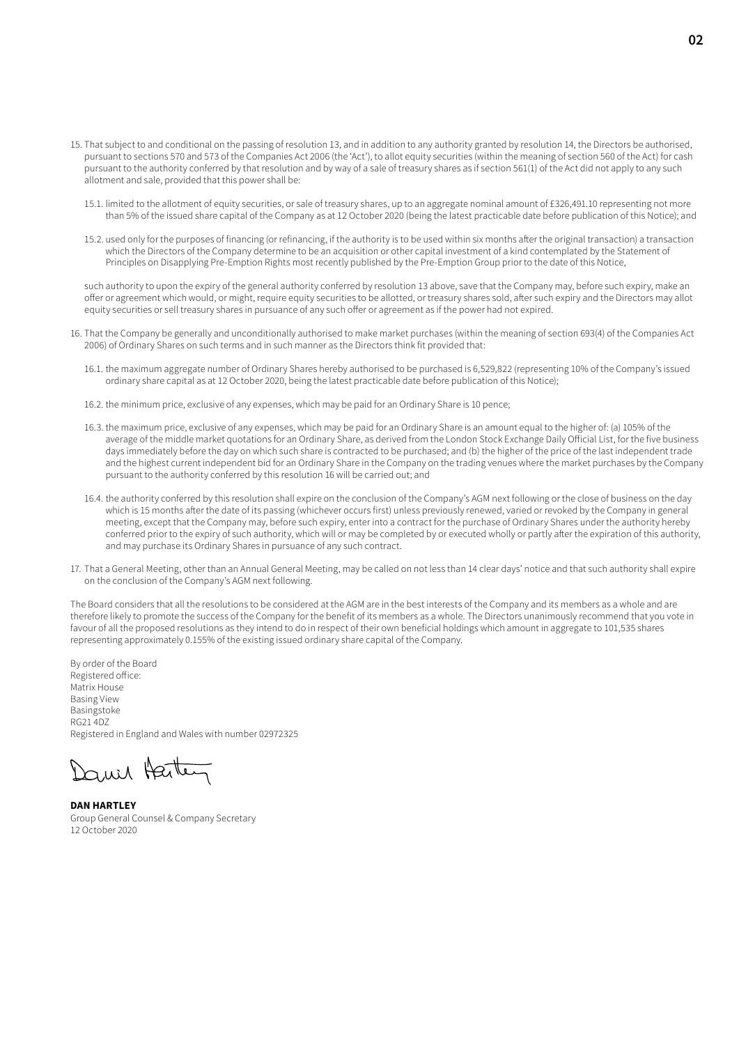- 15. That subject to and conditional on the passing of resolution 13, and in addition to any authority granted by resolution 14, the Directors be authorised, pursuant to sections 570 and 573 of the Companies Act 2006 (the 'Act'), to allot equity securities (within the meaning of section 560 of the Act) for cash pursuant to the authority conferred by that resolution and by way of a sale of treasury shares as if section 561(1) of the Act did not apply to any such allotment and sale, provided that this power shall be:
	- 15.1. limited to the allotment of equity securities, or sale of treasury shares, up to an aggregate nominal amount of £326,491.10 representing not more than 5% of the issued share capital of the Company as at 12 October 2020 (being the latest practicable date before publication of this Notice); and
	- 15.2. used only for the purposes of financing (or refinancing, if the authority is to be used within six months after the original transaction) a transaction which the Directors of the Company determine to be an acquisition or other capital investment of a kind contemplated by the Statement of Principles on Disapplying Pre-Emption Rights most recently published by the Pre-Emption Group prior to the date of this Notice,

such authority to upon the expiry of the general authority conferred by resolution 13 above, save that the Company may, before such expiry, make an offer or agreement which would, or might, require equity securities to be allotted, or treasury shares sold, after such expiry and the Directors may allot equity securities or sell treasury shares in pursuance of any such offer or agreement as if the power had not expired.

- 16. That the Company be generally and unconditionally authorised to make market purchases (within the meaning of section 693(4) of the Companies Act 2006) of Ordinary Shares on such terms and in such manner as the Directors think fit provided that:
	- 16.1. the maximum aggregate number of Ordinary Shares hereby authorised to be purchased is 6,529,822 (representing 10% of the Company's issued ordinary share capital as at 12 October 2020, being the latest practicable date before publication of this Notice);
	- 16.2. the minimum price, exclusive of any expenses, which may be paid for an Ordinary Share is 10 pence;
	- 16.3. the maximum price, exclusive of any expenses, which may be paid for an Ordinary Share is an amount equal to the higher of: (a) 105% of the average of the middle market quotations for an Ordinary Share, as derived from the London Stock Exchange Daily Official List, for the five business days immediately before the day on which such share is contracted to be purchased; and (b) the higher of the price of the last independent trade and the highest current independent bid for an Ordinary Share in the Company on the trading venues where the market purchases by the Company pursuant to the authority conferred by this resolution 16 will be carried out; and
	- 16.4. the authority conferred by this resolution shall expire on the conclusion of the Company's AGM next following or the close of business on the day which is 15 months after the date of its passing (whichever occurs first) unless previously renewed, varied or revoked by the Company in general meeting, except that the Company may, before such expiry, enter into a contract for the purchase of Ordinary Shares under the authority hereby conferred prior to the expiry of such authority, which will or may be completed by or executed wholly or partly after the expiration of this authority, and may purchase its Ordinary Shares in pursuance of any such contract.
- 17. That a General Meeting, other than an Annual General Meeting, may be called on not less than 14 clear days' notice and that such authority shall expire on the conclusion of the Company's AGM next following.

The Board considers that all the resolutions to be considered at the AGM are in the best interests of the Company and its members as a whole and are therefore likely to promote the success of the Company for the benefit of its members as a whole. The Directors unanimously recommend that you vote in favour of all the proposed resolutions as they intend to do in respect of their own beneficial holdings which amount in aggregate to 101,535 shares representing approximately 0.155% of the existing issued ordinary share capital of the Company.

By order of the Board Registered office: Matrix House Basing View Basingstoke RG21 4DZ Registered in England and Wales with number 02972325

Daniel Harten

**DAN HARTLEY** Group General Counsel & Company Secretary 12 October 2020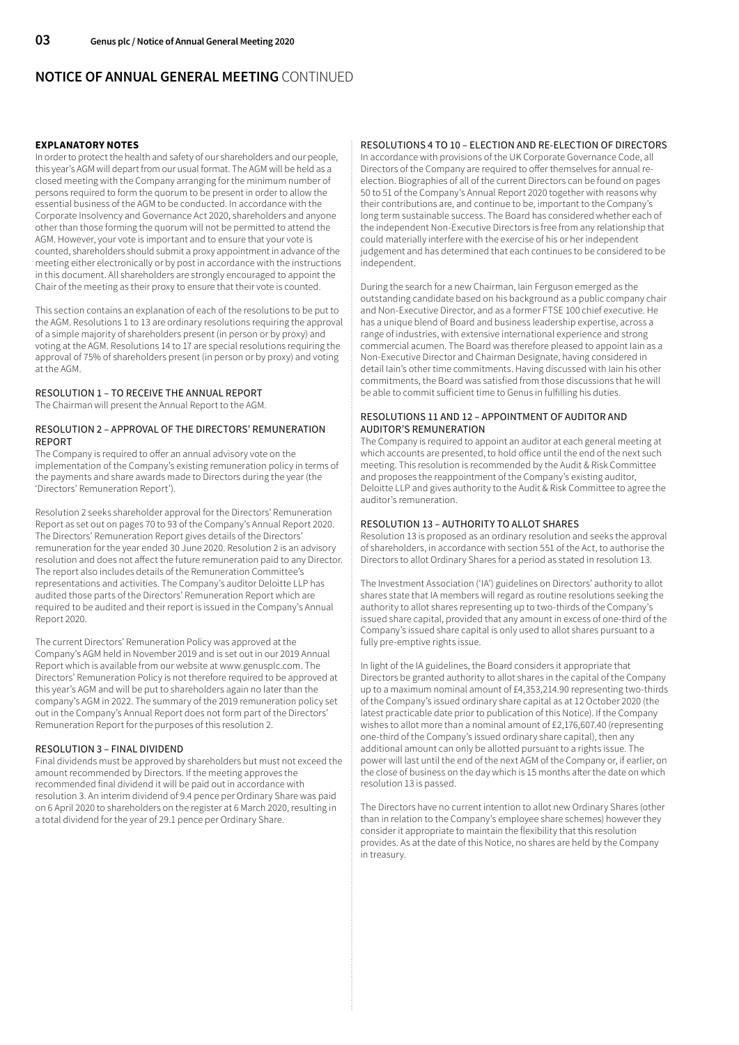# **NOTICE OF ANNUAL GENERAL MEETING** CONTINUED

## **EXPLANATORY NOTES**

In order to protect the health and safety of our shareholders and our people, this year's AGM will depart from our usual format. The AGM will be held as a closed meeting with the Company arranging for the minimum number of persons required to form the quorum to be present in order to allow the essential business of the AGM to be conducted. In accordance with the Corporate Insolvency and Governance Act 2020, shareholders and anyone other than those forming the quorum will not be permitted to attend the AGM. However, your vote is important and to ensure that your vote is counted, shareholders should submit a proxy appointment in advance of the meeting either electronically or by post in accordance with the instructions in this document. All shareholders are strongly encouraged to appoint the Chair of the meeting as their proxy to ensure that their vote is counted.

This section contains an explanation of each of the resolutions to be put to the AGM. Resolutions 1 to 13 are ordinary resolutions requiring the approval of a simple majority of shareholders present (in person or by proxy) and voting at the AGM. Resolutions 14 to 17 are special resolutions requiring the approval of 75% of shareholders present (in person or by proxy) and voting at the AGM.

# RESOLUTION 1 – TO RECEIVE THE ANNUAL REPORT

The Chairman will present the Annual Report to the AGM.

## RESOLUTION 2 – APPROVAL OF THE DIRECTORS' REMUNERATION REPORT

The Company is required to offer an annual advisory vote on the implementation of the Company's existing remuneration policy in terms of the payments and share awards made to Directors during the year (the 'Directors' Remuneration Report').

Resolution 2 seeks shareholder approval for the Directors' Remuneration Report as set out on pages 70 to 93 of the Company's Annual Report 2020. The Directors' Remuneration Report gives details of the Directors' remuneration for the year ended 30 June 2020. Resolution 2 is an advisory resolution and does not affect the future remuneration paid to any Director. The report also includes details of the Remuneration Committee's representations and activities. The Company's auditor Deloitte LLP has audited those parts of the Directors' Remuneration Report which are required to be audited and their report is issued in the Company's Annual Report 2020.

The current Directors' Remuneration Policy was approved at the Company's AGM held in November 2019 and is set out in our 2019 Annual Report which is available from our website at www.genusplc.com. The Directors' Remuneration Policy is not therefore required to be approved at this year's AGM and will be put to shareholders again no later than the company's AGM in 2022. The summary of the 2019 remuneration policy set out in the Company's Annual Report does not form part of the Directors' Remuneration Report for the purposes of this resolution 2.

## RESOLUTION 3 – FINAL DIVIDEND

Final dividends must be approved by shareholders but must not exceed the amount recommended by Directors. If the meeting approves the recommended final dividend it will be paid out in accordance with resolution 3. An interim dividend of 9.4 pence per Ordinary Share was paid on 6 April 2020 to shareholders on the register at 6 March 2020, resulting in a total dividend for the year of 29.1 pence per Ordinary Share.

## RESOLUTIONS 4 TO 10 – ELECTION AND RE-ELECTION OF DIRECTORS

In accordance with provisions of the UK Corporate Governance Code, all Directors of the Company are required to offer themselves for annual reelection. Biographies of all of the current Directors can be found on pages 50 to 51 of the Company's Annual Report 2020 together with reasons why their contributions are, and continue to be, important to the Company's long term sustainable success. The Board has considered whether each of the independent Non-Executive Directors is free from any relationship that could materially interfere with the exercise of his or her independent judgement and has determined that each continues to be considered to be independent.

During the search for a new Chairman, Iain Ferguson emerged as the outstanding candidate based on his background as a public company chair and Non-Executive Director, and as a former FTSE 100 chief executive. He has a unique blend of Board and business leadership expertise, across a range of industries, with extensive international experience and strong commercial acumen. The Board was therefore pleased to appoint Iain as a Non-Executive Director and Chairman Designate, having considered in detail Iain's other time commitments. Having discussed with Iain his other commitments, the Board was satisfied from those discussions that he will be able to commit sufficient time to Genus in fulfilling his duties.

## RESOLUTIONS 11 AND 12 – APPOINTMENT OF AUDITOR AND AUDITOR'S REMUNERATION

The Company is required to appoint an auditor at each general meeting at which accounts are presented, to hold office until the end of the next such meeting. This resolution is recommended by the Audit & Risk Committee and proposes the reappointment of the Company's existing auditor, Deloitte LLP and gives authority to the Audit & Risk Committee to agree the auditor's remuneration.

## RESOLUTION 13 – AUTHORITY TO ALLOT SHARES

Resolution 13 is proposed as an ordinary resolution and seeks the approval of shareholders, in accordance with section 551 of the Act, to authorise the Directors to allot Ordinary Shares for a period as stated in resolution 13.

The Investment Association ('IA') guidelines on Directors' authority to allot shares state that IA members will regard as routine resolutions seeking the authority to allot shares representing up to two-thirds of the Company's issued share capital, provided that any amount in excess of one-third of the Company's issued share capital is only used to allot shares pursuant to a fully pre-emptive rights issue.

In light of the IA guidelines, the Board considers it appropriate that Directors be granted authority to allot shares in the capital of the Company up to a maximum nominal amount of £4,353,214.90 representing two-thirds of the Company's issued ordinary share capital as at 12 October 2020 (the latest practicable date prior to publication of this Notice). If the Company wishes to allot more than a nominal amount of £2,176,607.40 (representing one-third of the Company's issued ordinary share capital), then any additional amount can only be allotted pursuant to a rights issue. The power will last until the end of the next AGM of the Company or, if earlier, on the close of business on the day which is 15 months after the date on which resolution 13 is passed.

The Directors have no current intention to allot new Ordinary Shares (other than in relation to the Company's employee share schemes) however they consider it appropriate to maintain the flexibility that this resolution provides. As at the date of this Notice, no shares are held by the Company in treasury.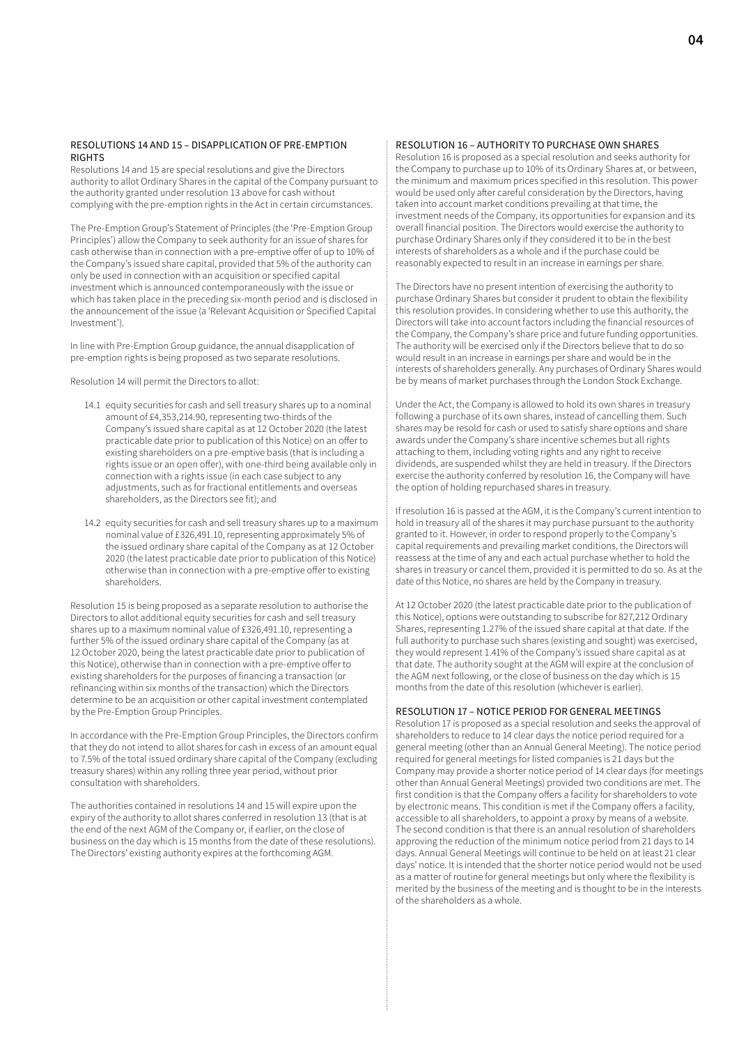## RESOLUTIONS 14 AND 15 – DISAPPLICATION OF PRE-EMPTION RIGHTS

Resolutions 14 and 15 are special resolutions and give the Directors authority to allot Ordinary Shares in the capital of the Company pursuant to the authority granted under resolution 13 above for cash without complying with the pre-emption rights in the Act in certain circumstances.

The Pre-Emption Group's Statement of Principles (the 'Pre-Emption Group Principles') allow the Company to seek authority for an issue of shares for cash otherwise than in connection with a pre-emptive offer of up to 10% of the Company's issued share capital, provided that 5% of the authority can only be used in connection with an acquisition or specified capital investment which is announced contemporaneously with the issue or which has taken place in the preceding six-month period and is disclosed in the announcement of the issue (a 'Relevant Acquisition or Specified Capital Investment').

In line with Pre-Emption Group guidance, the annual disapplication of pre-emption rights is being proposed as two separate resolutions.

Resolution 14 will permit the Directors to allot:

- 14.1 equity securities for cash and sell treasury shares up to a nominal amount of £4,353,214.90, representing two-thirds of the Company's issued share capital as at 12 October 2020 (the latest practicable date prior to publication of this Notice) on an offer to existing shareholders on a pre-emptive basis (that is including a rights issue or an open offer), with one-third being available only in connection with a rights issue (in each case subject to any adjustments, such as for fractional entitlements and overseas shareholders, as the Directors see fit); and
- 14.2 equity securities for cash and sell treasury shares up to a maximum nominal value of £326,491.10, representing approximately 5% of the issued ordinary share capital of the Company as at 12 October 2020 (the latest practicable date prior to publication of this Notice) otherwise than in connection with a pre-emptive offer to existing shareholders.

Resolution 15 is being proposed as a separate resolution to authorise the Directors to allot additional equity securities for cash and sell treasury shares up to a maximum nominal value of £326,491.10, representing a further 5% of the issued ordinary share capital of the Company (as at 12 October 2020, being the latest practicable date prior to publication of this Notice), otherwise than in connection with a pre-emptive offer to existing shareholders for the purposes of financing a transaction (or refinancing within six months of the transaction) which the Directors determine to be an acquisition or other capital investment contemplated by the Pre-Emption Group Principles.

In accordance with the Pre-Emption Group Principles, the Directors confirm that they do not intend to allot shares for cash in excess of an amount equal to 7.5% of the total issued ordinary share capital of the Company (excluding treasury shares) within any rolling three year period, without prior consultation with shareholders.

The authorities contained in resolutions 14 and 15 will expire upon the expiry of the authority to allot shares conferred in resolution 13 (that is at the end of the next AGM of the Company or, if earlier, on the close of business on the day which is 15 months from the date of these resolutions). The Directors' existing authority expires at the forthcoming AGM.

## RESOLUTION 16 – AUTHORITY TO PURCHASE OWN SHARES

Resolution 16 is proposed as a special resolution and seeks authority for the Company to purchase up to 10% of its Ordinary Shares at, or between, the minimum and maximum prices specified in this resolution. This power would be used only after careful consideration by the Directors, having taken into account market conditions prevailing at that time, the investment needs of the Company, its opportunities for expansion and its overall financial position. The Directors would exercise the authority to purchase Ordinary Shares only if they considered it to be in the best interests of shareholders as a whole and if the purchase could be reasonably expected to result in an increase in earnings per share.

The Directors have no present intention of exercising the authority to purchase Ordinary Shares but consider it prudent to obtain the flexibility this resolution provides. In considering whether to use this authority, the Directors will take into account factors including the financial resources of the Company, the Company's share price and future funding opportunities. The authority will be exercised only if the Directors believe that to do so would result in an increase in earnings per share and would be in the interests of shareholders generally. Any purchases of Ordinary Shares would be by means of market purchases through the London Stock Exchange.

Under the Act, the Company is allowed to hold its own shares in treasury following a purchase of its own shares, instead of cancelling them. Such shares may be resold for cash or used to satisfy share options and share awards under the Company's share incentive schemes but all rights attaching to them, including voting rights and any right to receive dividends, are suspended whilst they are held in treasury. If the Directors exercise the authority conferred by resolution 16, the Company will have the option of holding repurchased shares in treasury.

If resolution 16 is passed at the AGM, it is the Company's current intention to hold in treasury all of the shares it may purchase pursuant to the authority granted to it. However, in order to respond properly to the Company's capital requirements and prevailing market conditions, the Directors will reassess at the time of any and each actual purchase whether to hold the shares in treasury or cancel them, provided it is permitted to do so. As at the date of this Notice, no shares are held by the Company in treasury.

At 12 October 2020 (the latest practicable date prior to the publication of this Notice), options were outstanding to subscribe for 827,212 Ordinary Shares, representing 1.27% of the issued share capital at that date. If the full authority to purchase such shares (existing and sought) was exercised, they would represent 1.41% of the Company's issued share capital as at that date. The authority sought at the AGM will expire at the conclusion of the AGM next following, or the close of business on the day which is 15 months from the date of this resolution (whichever is earlier).

## RESOLUTION 17 – NOTICE PERIOD FOR GENERAL MEETINGS

Resolution 17 is proposed as a special resolution and seeks the approval of shareholders to reduce to 14 clear days the notice period required for a general meeting (other than an Annual General Meeting). The notice period required for general meetings for listed companies is 21 days but the Company may provide a shorter notice period of 14 clear days (for meetings other than Annual General Meetings) provided two conditions are met. The first condition is that the Company offers a facility for shareholders to vote by electronic means. This condition is met if the Company offers a facility, accessible to all shareholders, to appoint a proxy by means of a website. The second condition is that there is an annual resolution of shareholders approving the reduction of the minimum notice period from 21 days to 14 days. Annual General Meetings will continue to be held on at least 21 clear days' notice. It is intended that the shorter notice period would not be used as a matter of routine for general meetings but only where the flexibility is merited by the business of the meeting and is thought to be in the interests of the shareholders as a whole.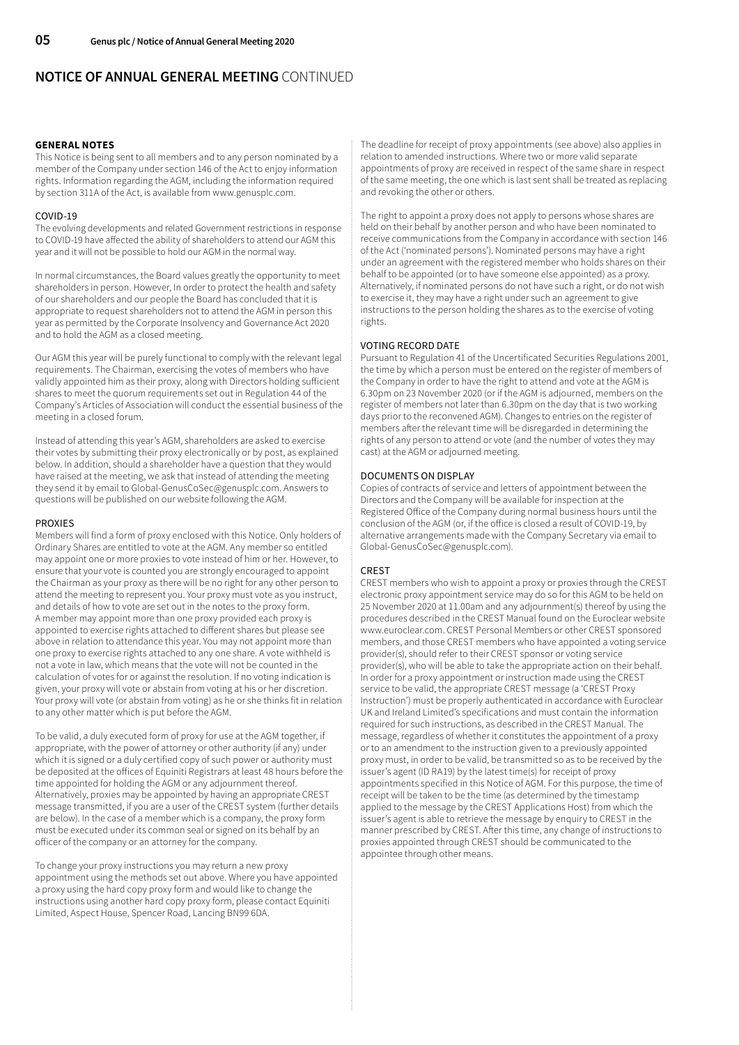# **NOTICE OF ANNUAL GENERAL MEETING** CONTINUED

## **GENERAL NOTES**

This Notice is being sent to all members and to any person nominated by a member of the Company under section 146 of the Act to enjoy information rights. Information regarding the AGM, including the information required by section 311A of the Act, is available from www.genusplc.com.

## COVID-19

The evolving developments and related Government restrictions in response to COVID-19 have affected the ability of shareholders to attend our AGM this year and it will not be possible to hold our AGM in the normal way.

In normal circumstances, the Board values greatly the opportunity to meet shareholders in person. However, In order to protect the health and safety of our shareholders and our people the Board has concluded that it is appropriate to request shareholders not to attend the AGM in person this year as permitted by the Corporate Insolvency and Governance Act 2020 and to hold the AGM as a closed meeting.

Our AGM this year will be purely functional to comply with the relevant legal requirements. The Chairman, exercising the votes of members who have validly appointed him as their proxy, along with Directors holding sufficient shares to meet the quorum requirements set out in Regulation 44 of the Company's Articles of Association will conduct the essential business of the meeting in a closed forum.

Instead of attending this year's AGM, shareholders are asked to exercise their votes by submitting their proxy electronically or by post, as explained below. In addition, should a shareholder have a question that they would have raised at the meeting, we ask that instead of attending the meeting they send it by email to Global-GenusCoSec@genusplc.com. Answers to questions will be published on our website following the AGM.

#### PROXIES

Members will find a form of proxy enclosed with this Notice. Only holders of Ordinary Shares are entitled to vote at the AGM. Any member so entitled may appoint one or more proxies to vote instead of him or her. However, to ensure that your vote is counted you are strongly encouraged to appoint the Chairman as your proxy as there will be no right for any other person to attend the meeting to represent you. Your proxy must vote as you instruct, and details of how to vote are set out in the notes to the proxy form. A member may appoint more than one proxy provided each proxy is appointed to exercise rights attached to different shares but please see above in relation to attendance this year. You may not appoint more than one proxy to exercise rights attached to any one share. A vote withheld is not a vote in law, which means that the vote will not be counted in the calculation of votes for or against the resolution. If no voting indication is given, your proxy will vote or abstain from voting at his or her discretion. Your proxy will vote (or abstain from voting) as he or she thinks fit in relation to any other matter which is put before the AGM.

To be valid, a duly executed form of proxy for use at the AGM together, if appropriate, with the power of attorney or other authority (if any) under which it is signed or a duly certified copy of such power or authority must be deposited at the offices of Equiniti Registrars at least 48 hours before the time appointed for holding the AGM or any adjournment thereof. Alternatively, proxies may be appointed by having an appropriate CREST message transmitted, if you are a user of the CREST system (further details are below). In the case of a member which is a company, the proxy form must be executed under its common seal or signed on its behalf by an officer of the company or an attorney for the company.

To change your proxy instructions you may return a new proxy appointment using the methods set out above. Where you have appointed a proxy using the hard copy proxy form and would like to change the instructions using another hard copy proxy form, please contact Equiniti Limited, Aspect House, Spencer Road, Lancing BN99 6DA.

The deadline for receipt of proxy appointments (see above) also applies in relation to amended instructions. Where two or more valid separate appointments of proxy are received in respect of the same share in respect of the same meeting, the one which is last sent shall be treated as replacing and revoking the other or others.

The right to appoint a proxy does not apply to persons whose shares are held on their behalf by another person and who have been nominated to receive communications from the Company in accordance with section 146 of the Act ('nominated persons'). Nominated persons may have a right under an agreement with the registered member who holds shares on their behalf to be appointed (or to have someone else appointed) as a proxy. Alternatively, if nominated persons do not have such a right, or do not wish to exercise it, they may have a right under such an agreement to give instructions to the person holding the shares as to the exercise of voting rights.

## VOTING RECORD DATE

Pursuant to Regulation 41 of the Uncertificated Securities Regulations 2001, the time by which a person must be entered on the register of members of the Company in order to have the right to attend and vote at the AGM is 6.30pm on 23 November 2020 (or if the AGM is adjourned, members on the register of members not later than 6.30pm on the day that is two working days prior to the reconvened AGM). Changes to entries on the register of members after the relevant time will be disregarded in determining the rights of any person to attend or vote (and the number of votes they may cast) at the AGM or adjourned meeting.

## DOCUMENTS ON DISPLAY

Copies of contracts of service and letters of appointment between the Directors and the Company will be available for inspection at the Registered Office of the Company during normal business hours until the conclusion of the AGM (or, if the office is closed a result of COVID-19, by alternative arrangements made with the Company Secretary via email to Global-GenusCoSec@genusplc.com).

#### CREST

CREST members who wish to appoint a proxy or proxies through the CREST electronic proxy appointment service may do so for this AGM to be held on 25 November 2020 at 11.00am and any adjournment(s) thereof by using the procedures described in the CREST Manual found on the Euroclear website www.euroclear.com. CREST Personal Members or other CREST sponsored members, and those CREST members who have appointed a voting service provider(s), should refer to their CREST sponsor or voting service provider(s), who will be able to take the appropriate action on their behalf. In order for a proxy appointment or instruction made using the CREST service to be valid, the appropriate CREST message (a 'CREST Proxy Instruction') must be properly authenticated in accordance with Euroclear UK and Ireland Limited's specifications and must contain the information required for such instructions, as described in the CREST Manual. The message, regardless of whether it constitutes the appointment of a proxy or to an amendment to the instruction given to a previously appointed proxy must, in order to be valid, be transmitted so as to be received by the issuer's agent (ID RA19) by the latest time(s) for receipt of proxy appointments specified in this Notice of AGM. For this purpose, the time of receipt will be taken to be the time (as determined by the timestamp applied to the message by the CREST Applications Host) from which the issuer's agent is able to retrieve the message by enquiry to CREST in the manner prescribed by CREST. After this time, any change of instructions to proxies appointed through CREST should be communicated to the appointee through other means.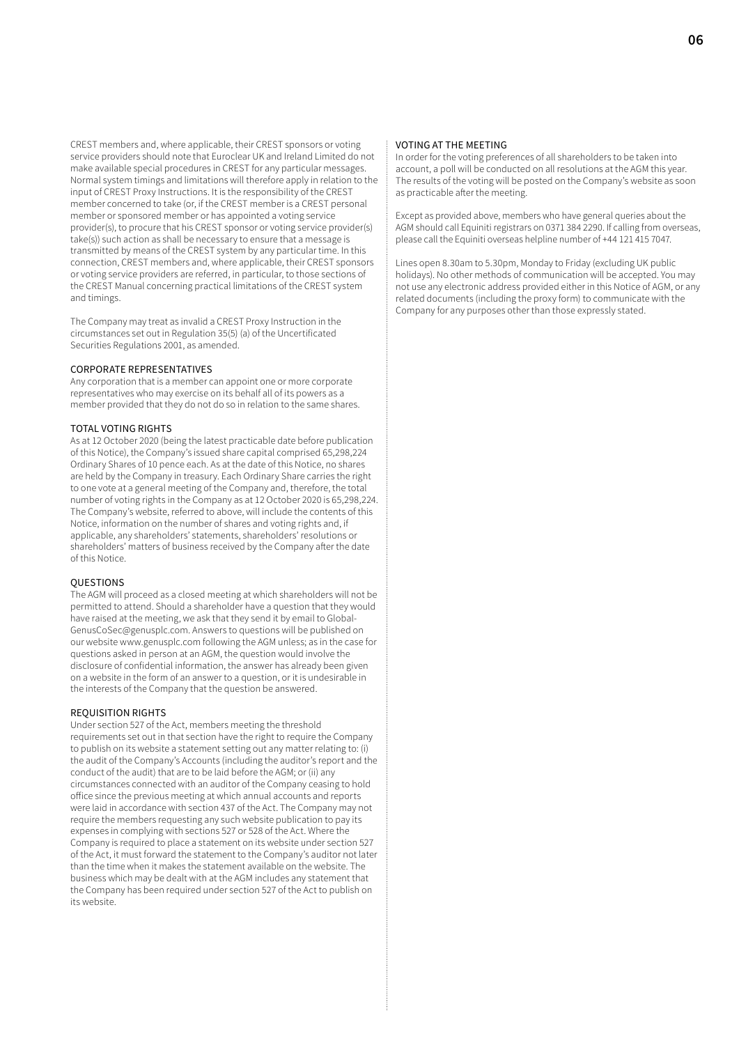CREST members and, where applicable, their CREST sponsors or voting service providers should note that Euroclear UK and Ireland Limited do not make available special procedures in CREST for any particular messages. Normal system timings and limitations will therefore apply in relation to the input of CREST Proxy Instructions. It is the responsibility of the CREST member concerned to take (or, if the CREST member is a CREST personal member or sponsored member or has appointed a voting service provider(s), to procure that his CREST sponsor or voting service provider(s) take(s)) such action as shall be necessary to ensure that a message is transmitted by means of the CREST system by any particular time. In this connection, CREST members and, where applicable, their CREST sponsors or voting service providers are referred, in particular, to those sections of the CREST Manual concerning practical limitations of the CREST system and timings.

The Company may treat as invalid a CREST Proxy Instruction in the circumstances set out in Regulation 35(5) (a) of the Uncertificated Securities Regulations 2001, as amended.

#### CORPORATE REPRESENTATIVES

Any corporation that is a member can appoint one or more corporate representatives who may exercise on its behalf all of its powers as a member provided that they do not do so in relation to the same shares.

## TOTAL VOTING RIGHTS

As at 12 October 2020 (being the latest practicable date before publication of this Notice), the Company's issued share capital comprised 65,298,224 Ordinary Shares of 10 pence each. As at the date of this Notice, no shares are held by the Company in treasury. Each Ordinary Share carries the right to one vote at a general meeting of the Company and, therefore, the total number of voting rights in the Company as at 12 October 2020 is 65,298,224. The Company's website, referred to above, will include the contents of this Notice, information on the number of shares and voting rights and, if applicable, any shareholders' statements, shareholders' resolutions or shareholders' matters of business received by the Company after the date of this Notice.

### **OUESTIONS**

The AGM will proceed as a closed meeting at which shareholders will not be permitted to attend. Should a shareholder have a question that they would have raised at the meeting, we ask that they send it by email to Global-GenusCoSec@genusplc.com. Answers to questions will be published on our website www.genusplc.com following the AGM unless; as in the case for questions asked in person at an AGM, the question would involve the disclosure of confidential information, the answer has already been given on a website in the form of an answer to a question, or it is undesirable in the interests of the Company that the question be answered.

#### REQUISITION RIGHTS

Under section 527 of the Act, members meeting the threshold requirements set out in that section have the right to require the Company to publish on its website a statement setting out any matter relating to: (i) the audit of the Company's Accounts (including the auditor's report and the conduct of the audit) that are to be laid before the AGM; or (ii) any circumstances connected with an auditor of the Company ceasing to hold office since the previous meeting at which annual accounts and reports were laid in accordance with section 437 of the Act. The Company may not require the members requesting any such website publication to pay its expenses in complying with sections 527 or 528 of the Act. Where the Company is required to place a statement on its website under section 527 of the Act, it must forward the statement to the Company's auditor not later than the time when it makes the statement available on the website. The business which may be dealt with at the AGM includes any statement that the Company has been required under section 527 of the Act to publish on its website.

## VOTING AT THE MEETING

In order for the voting preferences of all shareholders to be taken into account, a poll will be conducted on all resolutions at the AGM this year. The results of the voting will be posted on the Company's website as soon as practicable after the meeting.

Except as provided above, members who have general queries about the AGM should call Equiniti registrars on 0371 384 2290. If calling from overseas, please call the Equiniti overseas helpline number of +44 121 415 7047.

Lines open 8.30am to 5.30pm, Monday to Friday (excluding UK public holidays). No other methods of communication will be accepted. You may not use any electronic address provided either in this Notice of AGM, or any related documents (including the proxy form) to communicate with the Company for any purposes other than those expressly stated.